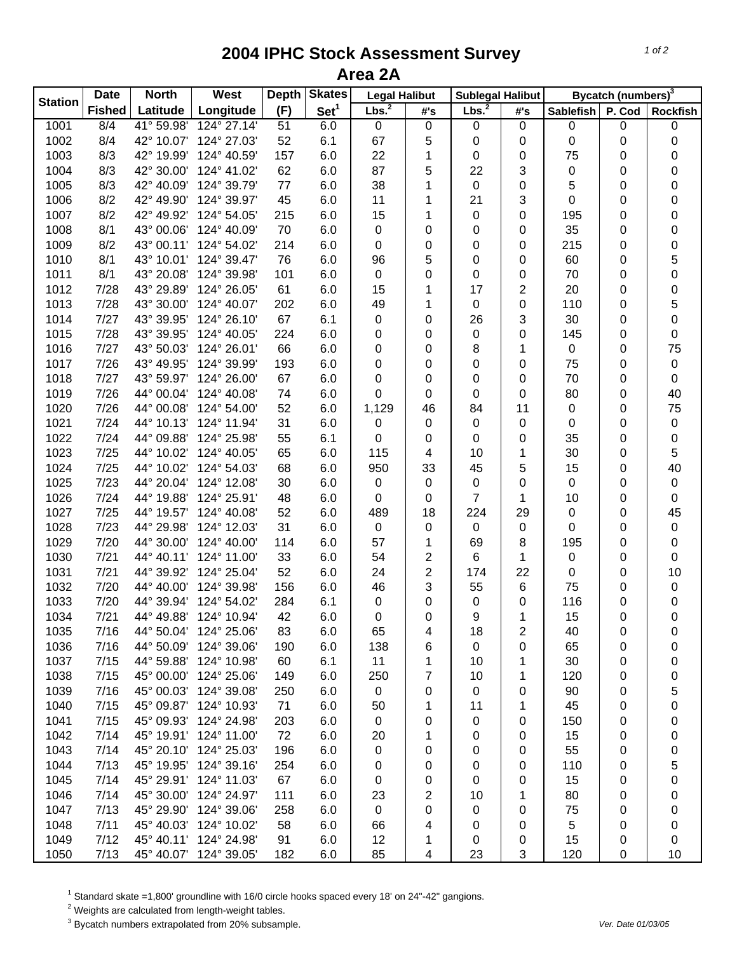## **2004 IPHC Stock Assessment Survey Area 2A**

| <b>Station</b> | <b>Date</b>      | <b>North</b> | West                   | <b>Depth</b> | <b>Skates</b>    | <b>Legal Halibut</b> |           | <b>Sublegal Halibut</b> |                | Bycatch (numbers) <sup>3</sup> |           |             |
|----------------|------------------|--------------|------------------------|--------------|------------------|----------------------|-----------|-------------------------|----------------|--------------------------------|-----------|-------------|
|                | <b>Fished</b>    | Latitude     | Longitude              | (F)          | Set <sup>1</sup> | Lbs. <sup>2</sup>    | #'s       | Lbs. <sup>2</sup>       | #'s            | Sablefish                      | P. Cod    | Rockfish    |
| 1001           | $\overline{8/4}$ | 41° 59.98'   | 124° 27.14'            | 51           | 6.0              | 0                    | $\pmb{0}$ | $\pmb{0}$               | $\mathsf 0$    | 0                              | 0         | $\pmb{0}$   |
| 1002           | 8/4              | 42° 10.07'   | 124° 27.03'            | 52           | 6.1              | 67                   | 5         | 0                       | 0              | 0                              | 0         | 0           |
| 1003           | 8/3              | 42° 19.99'   | 124° 40.59'            | 157          | 6.0              | 22                   | 1         | 0                       | 0              | 75                             | 0         | 0           |
| 1004           | 8/3              | 42° 30.00'   | 124° 41.02'            | 62           | 6.0              | 87                   | 5         | 22                      | 3              | 0                              | 0         | 0           |
| 1005           | 8/3              | 42° 40.09'   | 124° 39.79'            | $77 \,$      | 6.0              | 38                   | 1         | $\boldsymbol{0}$        | 0              | 5                              | 0         | 0           |
| 1006           | 8/2              | 42° 49.90'   | 124° 39.97'            | 45           | 6.0              | 11                   | 1         | 21                      | 3              | 0                              | 0         | 0           |
| 1007           | 8/2              | 42° 49.92'   | 124° 54.05'            | 215          | 6.0              | 15                   | 1         | $\pmb{0}$               | 0              | 195                            | 0         | 0           |
| 1008           | 8/1              | 43° 00.06'   | 124° 40.09'            | 70           | 6.0              | 0                    | 0         | 0                       | 0              | 35                             | 0         | 0           |
| 1009           | 8/2              | 43° 00.11'   | 124° 54.02'            | 214          | 6.0              | 0                    | 0         | 0                       | 0              | 215                            | 0         | 0           |
| 1010           | 8/1              | 43° 10.01'   | 124° 39.47'            | 76           | 6.0              | 96                   | 5         | 0                       | 0              | 60                             | 0         | 5           |
| 1011           | 8/1              | 43° 20.08'   | 124° 39.98'            | 101          | 6.0              | $\pmb{0}$            | 0         | 0                       | 0              | 70                             | 0         | $\mathbf 0$ |
| 1012           | 7/28             | 43° 29.89'   | 124° 26.05'            | 61           | 6.0              | 15                   | 1         | 17                      | $\overline{2}$ | 20                             | 0         | 0           |
| 1013           | 7/28             | 43° 30.00'   | 124° 40.07'            | 202          | 6.0              | 49                   | 1         | 0                       | 0              | 110                            | 0         | 5           |
| 1014           | 7/27             | 43° 39.95'   | 124° 26.10'            | 67           | 6.1              | 0                    | 0         | 26                      | 3              | 30                             | 0         | $\mathbf 0$ |
| 1015           | 7/28             | 43° 39.95'   | 124° 40.05'            | 224          | 6.0              | 0                    | 0         | $\pmb{0}$               | 0              | 145                            | 0         | 0           |
| 1016           | 7/27             | 43° 50.03'   | 124° 26.01'            | 66           | 6.0              | 0                    | 0         | 8                       | 1              | 0                              | 0         | 75          |
| 1017           | 7/26             | 43° 49.95'   | 124° 39.99'            | 193          | 6.0              | 0                    | 0         | 0                       | 0              | 75                             | 0         | $\pmb{0}$   |
| 1018           | 7/27             | 43° 59.97'   | 124° 26.00'            | 67           | 6.0              | 0                    | 0         | 0                       | 0              | 70                             | 0         | $\pmb{0}$   |
| 1019           | 7/26             | 44° 00.04'   | 124° 40.08'            | 74           | 6.0              | 0                    | 0         | 0                       | 0              | 80                             | 0         | 40          |
| 1020           | 7/26             | 44° 00.08'   | 124° 54.00'            | 52           | 6.0              | 1,129                | 46        | 84                      | 11             | 0                              | 0         | 75          |
| 1021           | 7/24             | 44° 10.13'   | 124° 11.94'            | 31           | 6.0              | 0                    | 0         | 0                       | 0              | 0                              | 0         | $\pmb{0}$   |
| 1022           | 7/24             | 44° 09.88'   | 124° 25.98'            | 55           | 6.1              | 0                    |           | 0                       |                | 35                             |           | $\pmb{0}$   |
| 1023           | 7/25             | 44° 10.02'   | 124° 40.05'            | 65           | 6.0              | 115                  | 0         | 10                      | 0<br>1         | 30                             | 0         |             |
|                | 7/25             | 44° 10.02'   | 124° 54.03'            |              | 6.0              |                      | 4         |                         |                | 15                             | 0         | 5           |
| 1024           |                  |              |                        | 68           |                  | 950                  | 33        | 45                      | 5              |                                | 0         | 40          |
| 1025           | 7/23             | 44° 20.04'   | 124° 12.08'            | 30           | 6.0              | $\pmb{0}$            | 0         | $\mathbf 0$             | 0              | 0                              | 0         | $\pmb{0}$   |
| 1026           | 7/24             | 44° 19.88'   | 124° 25.91'            | 48           | 6.0              | 0                    | 0         | $\overline{7}$          | $\mathbf{1}$   | 10                             | $\pmb{0}$ | $\pmb{0}$   |
| 1027           | 7/25             | 44° 19.57'   | 124° 40.08'            | 52           | 6.0              | 489                  | 18        | 224                     | 29             | 0                              | 0         | 45          |
| 1028           | 7/23             | 44° 29.98'   | 124° 12.03'            | 31           | 6.0              | $\mathbf 0$          | 0         | $\pmb{0}$               | 0              | 0                              | 0         | $\pmb{0}$   |
| 1029           | 7/20             | 44° 30.00'   | 124° 40.00'            | 114          | 6.0              | 57                   | 1         | 69                      | 8              | 195                            | 0         | $\pmb{0}$   |
| 1030           | 7/21             | 44° 40.11'   | 124° 11.00'            | 33           | 6.0              | 54                   | 2         | 6                       | 1              | 0                              | $\pmb{0}$ | $\pmb{0}$   |
| 1031           | 7/21             | 44° 39.92'   | 124° 25.04'            | 52           | 6.0              | 24                   | 2         | 174                     | 22             | 0                              | 0         | 10          |
| 1032           | 7/20             | 44° 40.00'   | 124° 39.98'            | 156          | 6.0              | 46                   | 3         | 55                      | 6              | 75                             | 0         | $\pmb{0}$   |
| 1033           | 7/20             | 44° 39.94'   | 124° 54.02'            | 284          | 6.1              | 0                    | 0         | $\pmb{0}$               | 0              | 116                            | 0         | $\pmb{0}$   |
| 1034           | 7/21             | 44° 49.88'   | 124° 10.94'            | 42           | 6.0              | 0                    | 0         | 9                       | 1              | 15                             | 0         | $\mathbf 0$ |
| 1035           | 7/16             | 44° 50.04'   | 124° 25.06'            | 83           | 6.0              | 65                   | 4         | 18                      | 2              | 40                             | 0         | 0           |
| 1036           | 7/16             | 44° 50.09'   | 124° 39.06'            | 190          | 6.0              | 138                  | 6         | 0                       | 0              | 65                             | 0         | 0           |
| 1037           | $7/15$           | 44° 59.88'   | 124° 10.98'            | 60           | 6.1              | 11                   | 1         | 10                      | 1              | 30                             | 0         | 0           |
| 1038           | 7/15             | 45° 00.00'   | 124° 25.06'            | 149          | 6.0              | 250                  | 7         | 10                      | 1              | 120                            | 0         | 0           |
| 1039           | 7/16             | 45° 00.03'   | 124° 39.08'            | 250          | 6.0              | $\mathbf 0$          | 0         | 0                       | 0              | 90                             | 0         | 5           |
| 1040           | 7/15             | 45° 09.87'   | 124° 10.93'            | 71           | 6.0              | 50                   | 1         | 11                      | 1              | 45                             | 0         | 0           |
| 1041           | 7/15             | 45° 09.93'   | 124° 24.98'            | 203          | 6.0              | 0                    | 0         | 0                       | 0              | 150                            | 0         | 0           |
| 1042           | 7/14             | 45° 19.91'   | 124° 11.00'            | 72           | 6.0              | 20                   | 1         | 0                       | 0              | 15                             | 0         | 0           |
| 1043           | 7/14             | 45° 20.10'   | 124° 25.03'            | 196          | 6.0              | 0                    | 0         | 0                       | 0              | 55                             | 0         | 0           |
| 1044           | 7/13             | 45° 19.95'   | 124° 39.16'            | 254          | 6.0              | 0                    | 0         | 0                       | 0              | 110                            | 0         | 5           |
| 1045           | 7/14             | 45° 29.91'   | 124° 11.03'            | 67           | 6.0              | 0                    | 0         | 0                       | 0              | 15                             | 0         | 0           |
| 1046           | 7/14             | 45° 30.00'   | 124° 24.97'            | 111          | 6.0              | 23                   | 2         | 10                      | 1              | 80                             | 0         | 0           |
| 1047           | 7/13             | 45° 29.90'   | 124° 39.06'            | 258          | 6.0              | 0                    | 0         | 0                       | 0              | 75                             | 0         | 0           |
| 1048           | 7/11             | 45° 40.03'   | 124° 10.02'            | 58           | 6.0              | 66                   | 4         | 0                       | 0              | 5                              | 0         | 0           |
| 1049           | 7/12             | 45° 40.11'   | 124° 24.98'            | 91           | 6.0              | 12                   | 1         | 0                       | 0              | 15                             | 0         | 0           |
| 1050           | 7/13             |              | 45° 40.07' 124° 39.05' | 182          | 6.0              | 85                   | 4         | 23                      | 3              | 120                            | 0         | 10          |

<sup>1</sup> Standard skate =1,800' groundline with 16/0 circle hooks spaced every 18' on 24"-42" gangions.<br><sup>2</sup> Weights are calculated from length-weight tables.<br><sup>3</sup> Bycatch numbers extrapolated from 20% subsample.